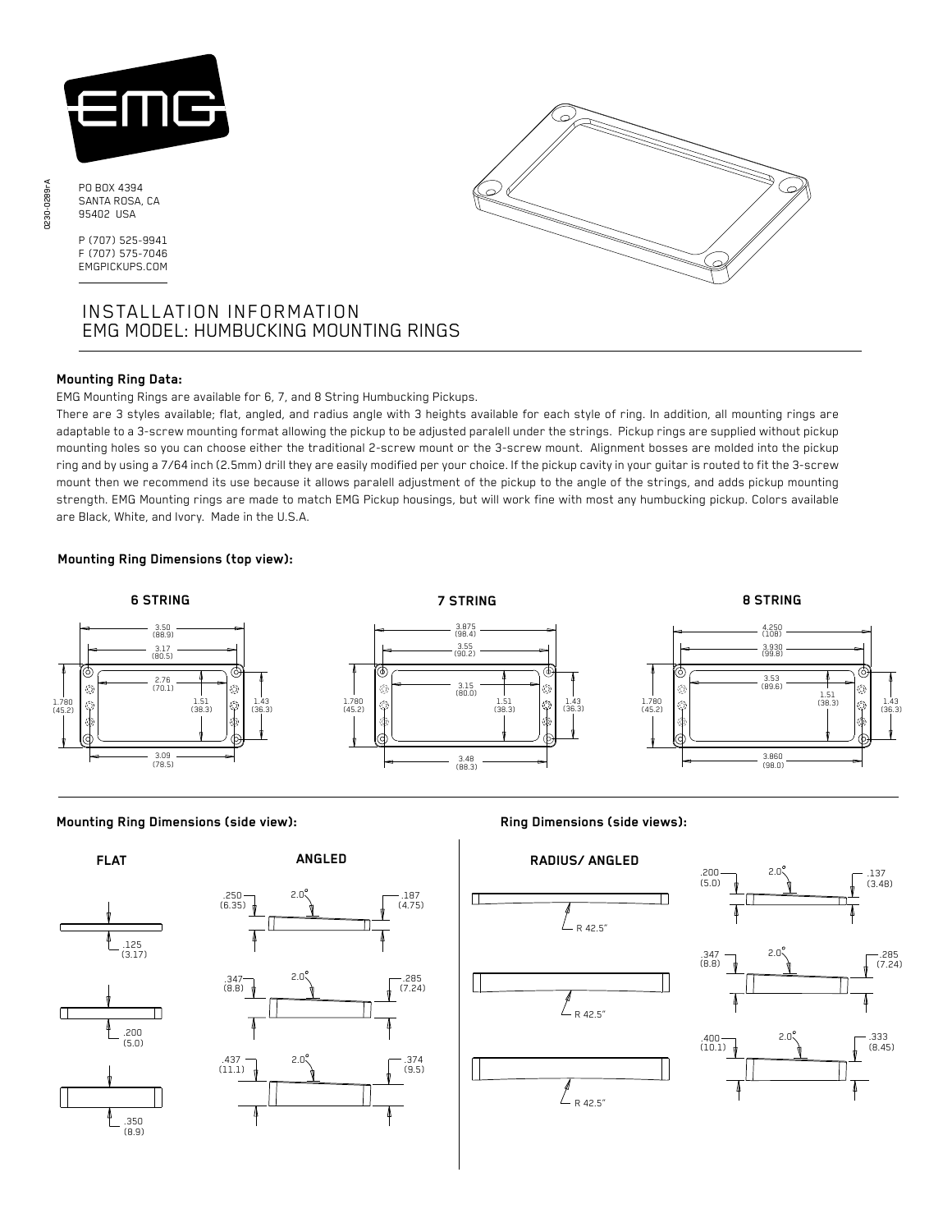

PO BOX 4394 SANTA ROSA, CA 95402 USA

P (707) 525-9941 F (707) 575-7046 EMGPICKUPS.COM

# INSTALLATION INFORMATION EMG MODEL: HUMBUCKING MOUNTING RINGS

### **Mounting Ring Data:**

EMG Mounting Rings are available for 6, 7, and 8 String Humbucking Pickups.

There are 3 styles available; flat, angled, and radius angle with 3 heights available for each style of ring. In addition, all mounting rings are adaptable to a 3-screw mounting format allowing the pickup to be adjusted paralell under the strings. Pickup rings are supplied without pickup mounting holes so you can choose either the traditional 2-screw mount or the 3-screw mount. Alignment bosses are molded into the pickup ring and by using a 7/64 inch (2.5mm) drill they are easily modified per your choice. If the pickup cavity in your guitar is routed to fit the 3-screw mount then we recommend its use because it allows paralell adjustment of the pickup to the angle of the strings, and adds pickup mounting strength. EMG Mounting rings are made to match EMG Pickup housings, but will work fine with most any humbucking pickup. Colors available are Black, White, and Ivory. Made in the U.S.A.

### **Mounting Ring Dimensions (top view):**



**Mounting Ring Dimensions (side view): Ring Dimensions (side views):**